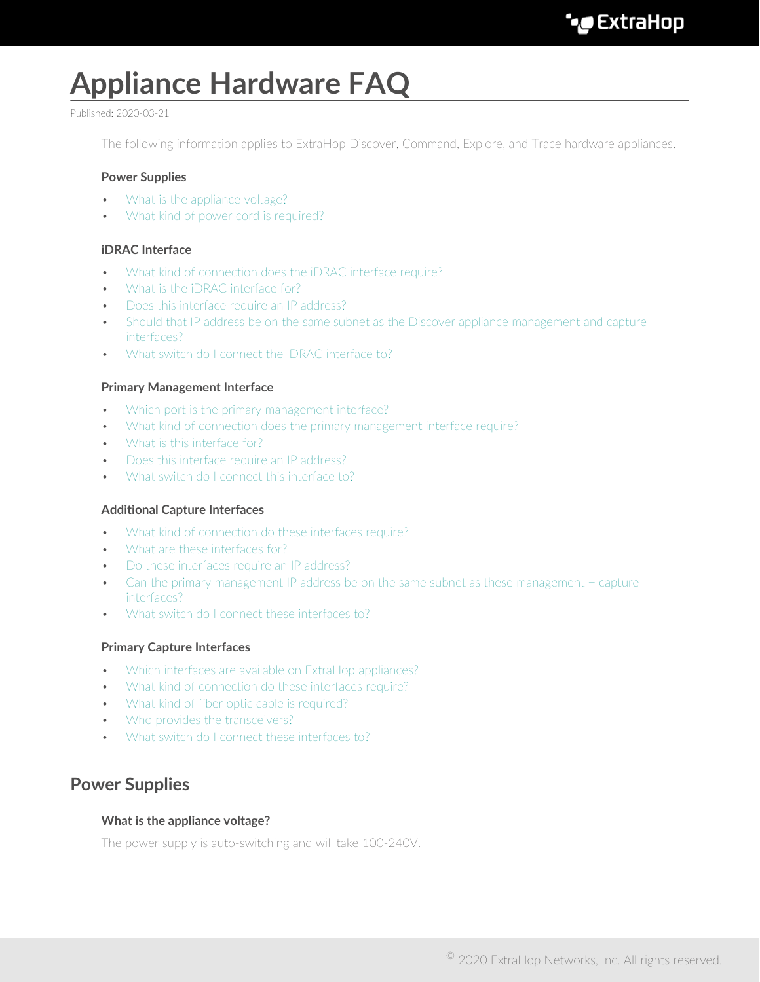# **Appliance Hardware FAQ**

#### Published: 2020-03-21

The following information applies to ExtraHop Discover, Command, Explore, and Trace hardware appliances.

#### **Power Supplies**

- [What is the appliance voltage?](#page-0-0)
- [What kind of power cord is required?](#page-1-0)

## **iDRAC Interface**

- [What kind of connection does the iDRAC interface require?](#page-1-1)
- [What is the iDRAC interface for?](#page-1-2)
- [Does this interface require an IP address?](#page-1-3)
- [Should that IP address be on the same subnet as the Discover appliance management and capture](#page-1-4) [interfaces?](#page-1-4)
- [What switch do I connect the iDRAC interface to?](#page-1-5)

#### **Primary Management Interface**

- [Which port is the primary management interface?](#page-1-6)
- [What kind of connection does the primary management interface require?](#page-1-7)
- [What is this interface for?](#page-1-8)
- [Does this interface require an IP address?](#page-1-9)
- [What switch do I connect this interface to?](#page-2-0)

#### **Additional Capture Interfaces**

- [What kind of connection do these interfaces require?](#page-2-1)
- [What are these interfaces for?](#page-2-2)
- [Do these interfaces require an IP address?](#page-2-3)
- [Can the primary management IP address be on the same subnet as these management + capture](#page-2-4) [interfaces?](#page-2-4)
- [What switch do I connect these interfaces to?](#page-2-5)

#### **Primary Capture Interfaces**

- [Which interfaces are available on ExtraHop appliances?](#page-2-6)
- [What kind of connection do these interfaces require?](#page-3-0)
- [What kind of fiber optic cable is required?](#page-3-1)
- [Who provides the transceivers?](#page-3-2)
- [What switch do I connect these interfaces to?](#page-3-3)

# <span id="page-0-0"></span>**Power Supplies**

#### **What is the appliance voltage?**

The power supply is auto-switching and will take 100-240V.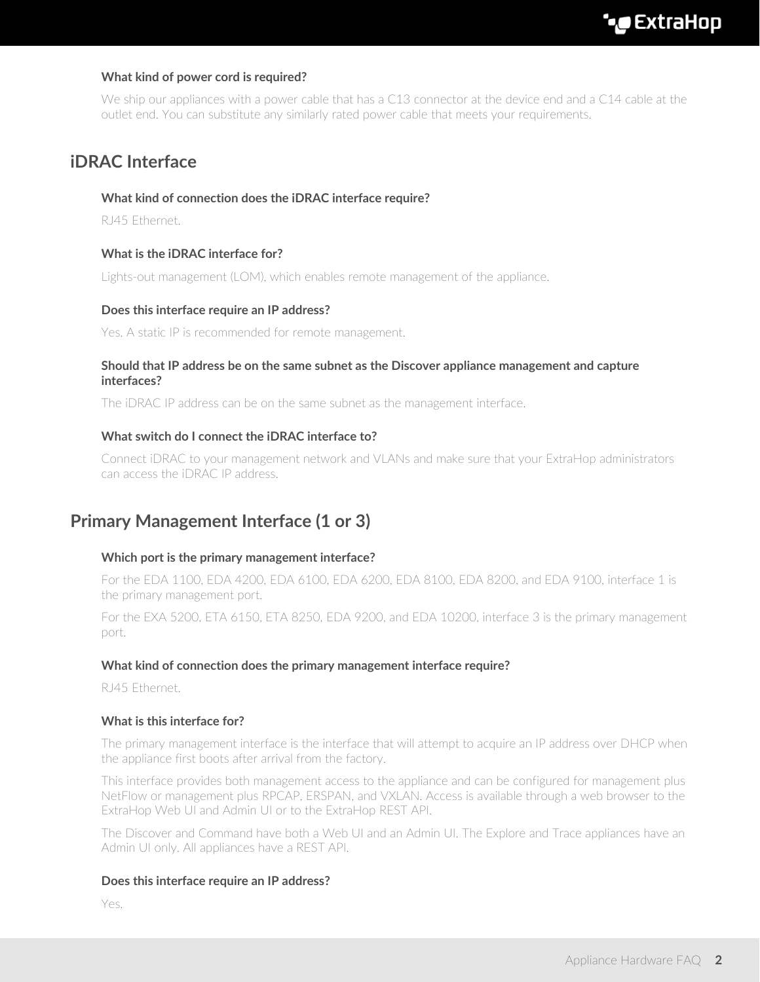# <span id="page-1-0"></span>**What kind of power cord is required?**

We ship our appliances with a power cable that has a C13 connector at the device end and a C14 cable at the outlet end. You can substitute any similarly rated power cable that meets your requirements.

# <span id="page-1-1"></span>**iDRAC Interface**

#### **What kind of connection does the iDRAC interface require?**

<span id="page-1-2"></span>RJ45 Ethernet.

## **What is the iDRAC interface for?**

<span id="page-1-3"></span>Lights-out management (LOM), which enables remote management of the appliance.

#### **Does this interface require an IP address?**

<span id="page-1-4"></span>Yes. A static IP is recommended for remote management.

#### **Should that IP address be on the same subnet as the Discover appliance management and capture interfaces?**

<span id="page-1-5"></span>The iDRAC IP address can be on the same subnet as the management interface.

## **What switch do I connect the iDRAC interface to?**

Connect iDRAC to your management network and VLANs and make sure that your ExtraHop administrators can access the iDRAC IP address.

# <span id="page-1-6"></span>**Primary Management Interface (1 or 3)**

#### **Which port is the primary management interface?**

For the EDA 1100, EDA 4200, EDA 6100, EDA 6200, EDA 8100, EDA 8200, and EDA 9100, interface 1 is the primary management port.

For the EXA 5200, ETA 6150, ETA 8250, EDA 9200, and EDA 10200, interface 3 is the primary management port.

#### <span id="page-1-7"></span>**What kind of connection does the primary management interface require?**

<span id="page-1-8"></span>RJ45 Ethernet.

#### **What is this interface for?**

The primary management interface is the interface that will attempt to acquire an IP address over DHCP when the appliance first boots after arrival from the factory.

This interface provides both management access to the appliance and can be configured for management plus NetFlow or management plus RPCAP, ERSPAN, and VXLAN. Access is available through a web browser to the ExtraHop Web UI and Admin UI or to the ExtraHop REST API.

The Discover and Command have both a Web UI and an Admin UI. The Explore and Trace appliances have an Admin UI only. All appliances have a REST API.

#### <span id="page-1-9"></span>**Does this interface require an IP address?**

Yes.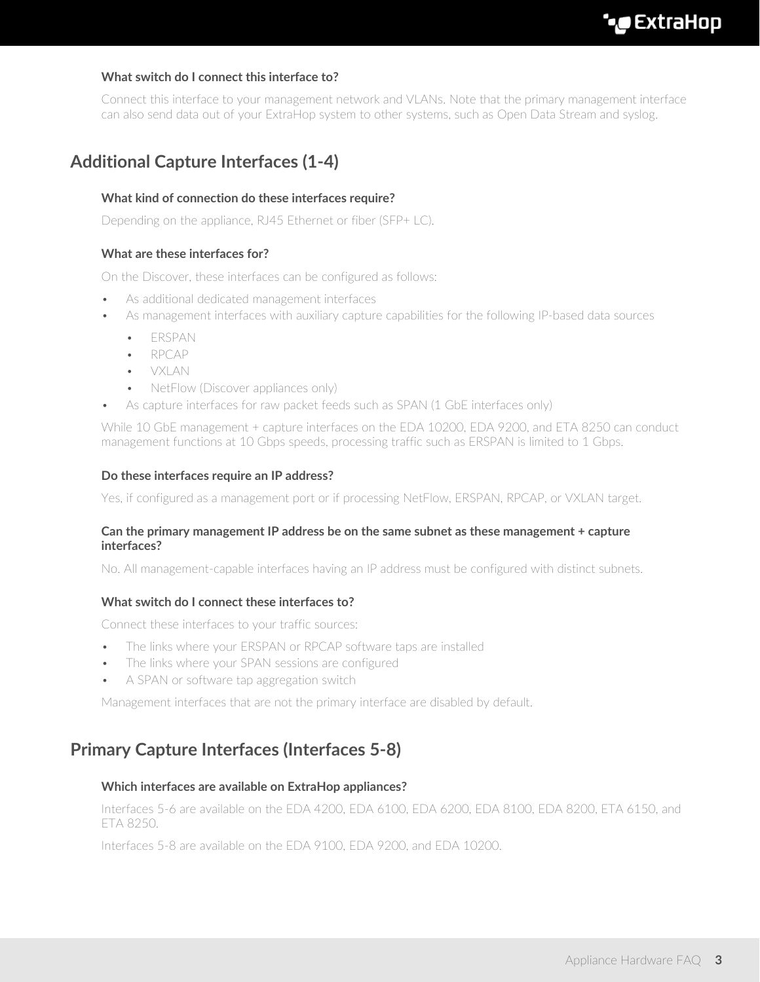# <span id="page-2-0"></span>**What switch do I connect this interface to?**

Connect this interface to your management network and VLANs. Note that the primary management interface can also send data out of your ExtraHop system to other systems, such as Open Data Stream and syslog.

# <span id="page-2-1"></span>**Additional Capture Interfaces (1-4)**

# **What kind of connection do these interfaces require?**

<span id="page-2-2"></span>Depending on the appliance, RJ45 Ethernet or fiber (SFP+ LC).

## **What are these interfaces for?**

On the Discover, these interfaces can be configured as follows:

- As additional dedicated management interfaces
- As management interfaces with auxiliary capture capabilities for the following IP-based data sources
	- ERSPAN
	- RPCAP
	- VXLAN
	- NetFlow (Discover appliances only)
	- As capture interfaces for raw packet feeds such as SPAN (1 GbE interfaces only)

While 10 GbE management + capture interfaces on the EDA 10200, EDA 9200, and ETA 8250 can conduct management functions at 10 Gbps speeds, processing traffic such as ERSPAN is limited to 1 Gbps.

#### <span id="page-2-3"></span>**Do these interfaces require an IP address?**

<span id="page-2-4"></span>Yes, if configured as a management port or if processing NetFlow, ERSPAN, RPCAP, or VXLAN target.

#### **Can the primary management IP address be on the same subnet as these management + capture interfaces?**

<span id="page-2-5"></span>No. All management-capable interfaces having an IP address must be configured with distinct subnets.

#### **What switch do I connect these interfaces to?**

Connect these interfaces to your traffic sources:

- The links where your ERSPAN or RPCAP software taps are installed
- The links where your SPAN sessions are configured
- A SPAN or software tap aggregation switch

Management interfaces that are not the primary interface are disabled by default.

# <span id="page-2-6"></span>**Primary Capture Interfaces (Interfaces 5-8)**

#### **Which interfaces are available on ExtraHop appliances?**

Interfaces 5-6 are available on the EDA 4200, EDA 6100, EDA 6200, EDA 8100, EDA 8200, ETA 6150, and ETA 8250.

Interfaces 5-8 are available on the EDA 9100, EDA 9200, and EDA 10200.